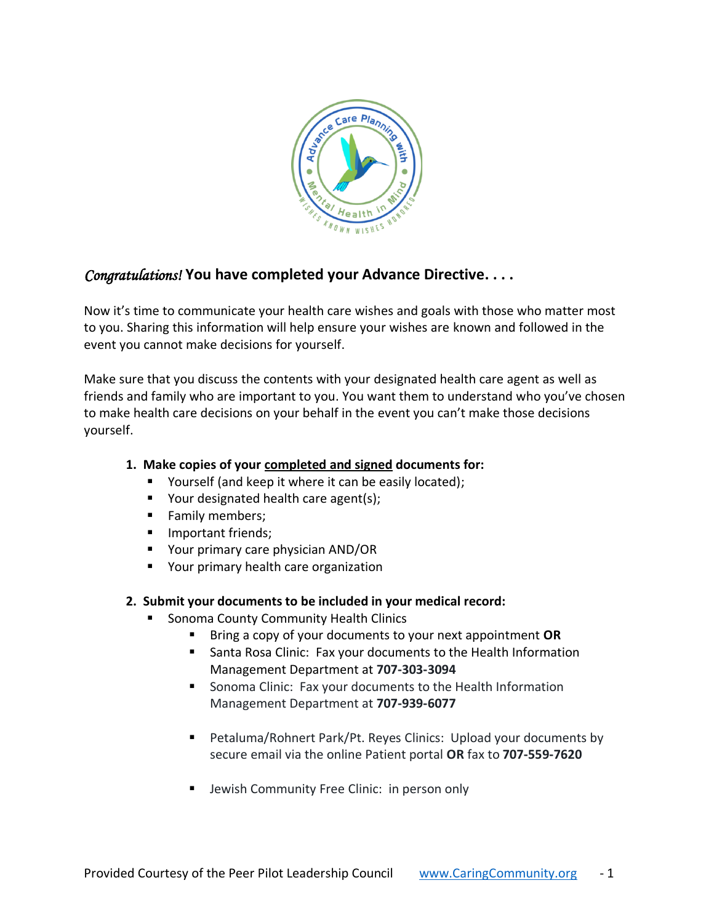

## *Congratulations!* **You have completed your Advance Directive. . . .**

Now it's time to communicate your health care wishes and goals with those who matter most to you. Sharing this information will help ensure your wishes are known and followed in the event you cannot make decisions for yourself.

Make sure that you discuss the contents with your designated health care agent as well as friends and family who are important to you. You want them to understand who you've chosen to make health care decisions on your behalf in the event you can't make those decisions yourself.

## **1. Make copies of your completed and signed documents for:**

- Yourself (and keep it where it can be easily located);
- Your designated health care agent(s);
- Family members;
- **■** Important friends;
- Your primary care physician AND/OR
- Your primary health care organization

## **2. Submit your documents to be included in your medical record:**

- Sonoma County Community Health Clinics
	- Bring a copy of your documents to your next appointment **OR**
	- Santa Rosa Clinic: Fax your documents to the Health Information Management Department at **707-303-3094**
	- Sonoma Clinic: Fax your documents to the Health Information Management Department at **707-939-6077**
	- Petaluma/Rohnert Park/Pt. Reyes Clinics: Upload your documents by secure email via the online Patient portal **OR** fax to **707-559-7620**
	- Jewish Community Free Clinic: in person only